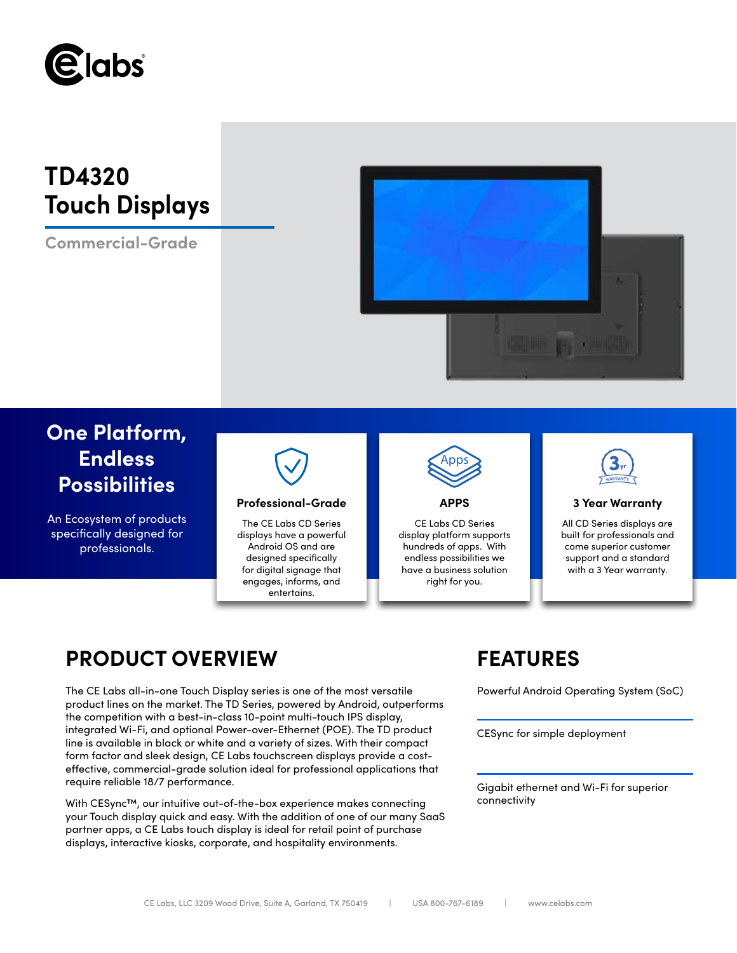

# **TD4320 Touch Displays**

**Commercial-Grade**



# **One Platform, Endless Possibilities**

An Ecosystem of products specifically designed for professionals.



## **Professional-Grade APPS 3 Year Warranty**

The CE Labs CD Series displays have a powerful Android OS and are designed specifically for digital signage that engages, informs, and entertains.



CE Labs CD Series display platform supports hundreds of apps. With endless possibilities we have a business solution right for you.



All CD Series displays are built for professionals and come superior customer support and a standard with a 3 Year warranty.

# **PRODUCT OVERVIEW FEATURES**

The CE Labs all-in-one Touch Display series is one of the most versatile Powerful Android Operating System (SoC) product lines on the market. The TD Series, powered by Android, outperforms the competition with a best-in-class 10-point multi-touch IPS display, integrated Wi-Fi, and optional Power-over-Ethernet (POE). The TD product line is available in black or white and a variety of sizes. With their compact form factor and sleek design, CE Labs touchscreen displays provide a costeffective, commercial-grade solution ideal for professional applications that require reliable 18/7 performance.

With CESync™, our intuitive out-of-the-box experience makes connecting your Touch display quick and easy. With the addition of one of our many SaaS partner apps, a CE Labs touch display is ideal for retail point of purchase displays, interactive kiosks, corporate, and hospitality environments.

CESync for simple deployment

Gigabit ethernet and Wi-Fi for superior connectivity